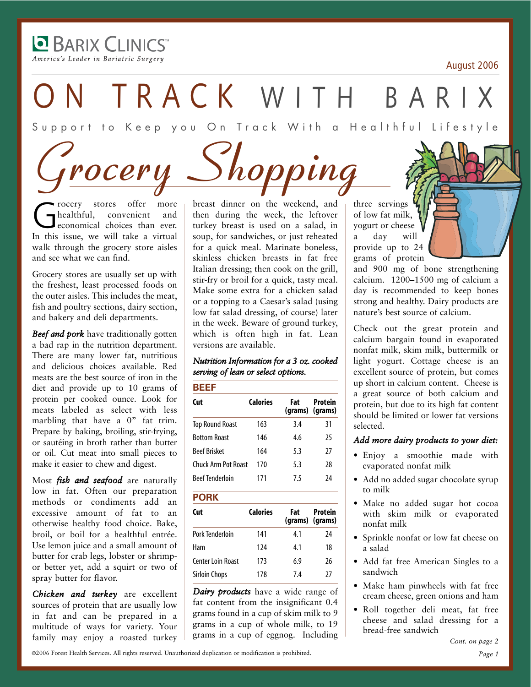**BARIX CLINICS** America's Leader in Bariatric Surgery

-

August 2006

TRACK WITH BA

Support to Keep you On Track With a Healthful Lifestyle

 $rocery \ \textcolor{red}{\bigcup} hopping$ 

Grocery stores offer more<br>
economical choices than ever. healthful, convenient and In this issue, we will take a virtual walk through the grocery store aisles and see what we can find.

Grocery stores are usually set up with the freshest, least processed foods on the outer aisles. This includes the meat, fish and poultry sections, dairy section, and bakery and deli departments.

*Beef and pork* have traditionally gotten a bad rap in the nutrition department. There are many lower fat, nutritious and delicious choices available. Red meats are the best source of iron in the diet and provide up to 10 grams of protein per cooked ounce. Look for meats labeled as select with less marbling that have a 0" fat trim. Prepare by baking, broiling, stir-frying, or sautéing in broth rather than butter or oil. Cut meat into small pieces to make it easier to chew and digest.

Most *fish and seafood* are naturally low in fat. Often our preparation methods or condiments add an excessive amount of fat to an otherwise healthy food choice. Bake, broil, or boil for a healthful entrée. Use lemon juice and a small amount of butter for crab legs, lobster or shrimpor better yet, add a squirt or two of spray butter for flavor.

*Chicken and turkey* are excellent sources of protein that are usually low in fat and can be prepared in a multitude of ways for variety. Your family may enjoy a roasted turkey breast dinner on the weekend, and then during the week, the leftover turkey breast is used on a salad, in soup, for sandwiches, or just reheated for a quick meal. Marinate boneless, skinless chicken breasts in fat free Italian dressing; then cook on the grill, stir-fry or broil for a quick, tasty meal. Make some extra for a chicken salad or a topping to a Caesar's salad (using low fat salad dressing, of course) later in the week. Beware of ground turkey, which is often high in fat. Lean versions are available.

#### *Nutrition Information for a 3 oz. cooked serving of lean or select options.*

| Cut                        | <b>Calories</b> | Fat | Protein<br>(grams) (grams) |  |
|----------------------------|-----------------|-----|----------------------------|--|
| <b>Top Round Roast</b>     | 163             | 3.4 | 31                         |  |
| <b>Bottom Roast</b>        | 146             | 4.6 | 25                         |  |
| <b>Beef Brisket</b>        | 164             | 5.3 | 27                         |  |
| <b>Chuck Arm Pot Roast</b> | 170             | 5.3 | 28                         |  |
| <b>Beef Tenderloin</b>     | 171             | 75  | 74                         |  |

#### **PORK**

| Cut                  | Calories | Fat | Protein<br>(grams) (grams) |
|----------------------|----------|-----|----------------------------|
| Pork Tenderloin      | 141      | 4.1 | 74                         |
| Ham                  | 124      | 4.1 | 18                         |
| Center Loin Roast    | 173      | 6.9 | 26                         |
| <b>Sirloin Chops</b> | 178      | 74  | 27                         |

*Dairy products* have a wide range of fat content from the insignificant 0.4 grams found in a cup of skim milk to 9 grams in a cup of whole milk, to 19 grams in a cup of eggnog. Including three servings of low fat milk, yogurt or cheese a day will provide up to 24 grams of protein

and 900 mg of bone strengthening calcium. 1200–1500 mg of calcium a day is recommended to keep bones strong and healthy. Dairy products are nature's best source of calcium.

Check out the great protein and calcium bargain found in evaporated nonfat milk, skim milk, buttermilk or light yogurt. Cottage cheese is an excellent source of protein, but comes up short in calcium content. Cheese is a great source of both calcium and protein, but due to its high fat content should be limited or lower fat versions selected.

#### *Add more dairy products to your diet:*

- Enjoy a smoothie made with evaporated nonfat milk
- Add no added sugar chocolate syrup to milk
- Make no added sugar hot cocoa with skim milk or evaporated nonfat milk
- Sprinkle nonfat or low fat cheese on a salad
- Add fat free American Singles to a sandwich
- Make ham pinwheels with fat free cream cheese, green onions and ham
- Roll together deli meat, fat free cheese and salad dressing for a bread-free sandwich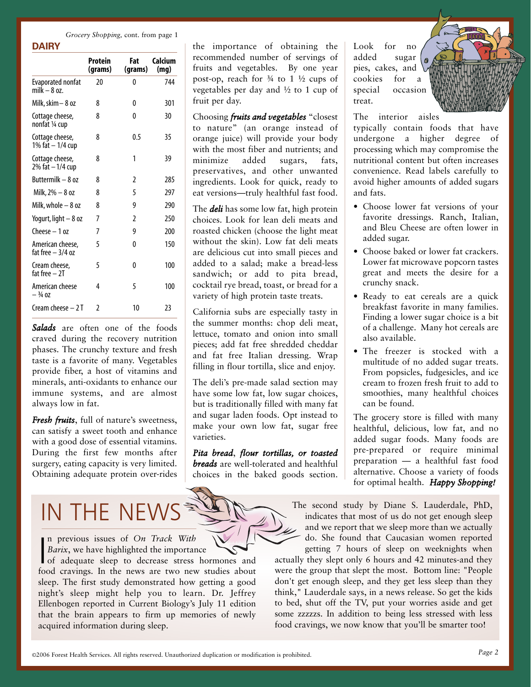*Grocery Shopping,* cont. from page 1

**DAIRY**

|                                        | Protein<br>(grams) | Fat<br>(grams) | Calcium<br>(mg) |
|----------------------------------------|--------------------|----------------|-----------------|
| Evaporated nonfat<br>milk – 8 oz.      | 20                 | 0              | 744             |
| Milk, skim – 8 oz                      | 8                  | 0              | 301             |
| Cottage cheese,<br>nonfat ¼ cup        | 8                  | 0              | 30              |
| Cottage cheese,<br>1% fat - 1/4 cup    | 8                  | 0.5            | 35              |
| Cottage cheese,<br>2% fat - 1/4 cup    | 8                  | 1              | 39              |
| Buttermilk – 8 oz                      | 8                  | 2              | 285             |
| Milk, $2\% - 8$ oz                     | 8                  | 5              | 297             |
| Milk, whole $-8$ oz                    | 8                  | 9              | 290             |
| Yogurt, light - 8 oz                   | 7                  | $\mathfrak z$  | 250             |
| $($ heese $-1$ oz                      | 7                  | 9              | 200             |
| American cheese,<br>fat free $-3/4$ oz | 5                  | 0              | 150             |
| Cream cheese,<br>fat free $-2I$        | 5                  | 0              | 100             |
| American cheese<br>$-3/4$ OZ           | 4                  | 5              | 100             |
| Cream cheese - 2 T                     | 2                  | 10             | 23              |

*Salads* are often one of the foods craved during the recovery nutrition phases. The crunchy texture and fresh taste is a favorite of many. Vegetables provide fiber, a host of vitamins and minerals, anti-oxidants to enhance our immune systems, and are almost always low in fat.

*Fresh fruits*, full of nature's sweetness, can satisfy a sweet tooth and enhance with a good dose of essential vitamins. During the first few months after surgery, eating capacity is very limited. Obtaining adequate protein over-rides

## IN THE NEV

n previous issues of *On Track With Barix*, we have highlighted the importance

 $\begin{bmatrix}$  n previous issues of *On Track With*<br>*Barix*, we have highlighted the importance<br>of adequate sleep to decrease stress hormones and food cravings. In the news are two new studies about sleep. The first study demonstrated how getting a good night's sleep might help you to learn. Dr. Jeffrey Ellenbogen reported in Current Biology's July 11 edition that the brain appears to firm up memories of newly acquired information during sleep.

the importance of obtaining the recommended number of servings of fruits and vegetables. By one year post-op, reach for  $\frac{3}{4}$  to 1  $\frac{1}{2}$  cups of vegetables per day and ½ to 1 cup of fruit per day.

Choosing *fruits and vegetables* "closest to nature" (an orange instead of orange juice) will provide your body with the most fiber and nutrients; and minimize added sugars, fats, preservatives, and other unwanted ingredients. Look for quick, ready to eat versions—truly healthful fast food.

The *deli* has some low fat, high protein choices. Look for lean deli meats and roasted chicken (choose the light meat without the skin). Low fat deli meats are delicious cut into small pieces and added to a salad; make a bread-less sandwich; or add to pita bread, cocktail rye bread, toast, or bread for a variety of high protein taste treats.

California subs are especially tasty in the summer months: chop deli meat, lettuce, tomato and onion into small pieces; add fat free shredded cheddar and fat free Italian dressing. Wrap filling in flour tortilla, slice and enjoy.

The deli's pre-made salad section may have some low fat, low sugar choices, but is traditionally filled with many fat and sugar laden foods. Opt instead to make your own low fat, sugar free varieties.

*Pita bread*, *flour tortillas, or toasted breads* are well-tolerated and healthful choices in the baked goods section. Look for no added sugar pies, cakes, and cookies for a special occasion treat.



The interior aisles

typically contain foods that have undergone a higher degree of processing which may compromise the nutritional content but often increases convenience. Read labels carefully to avoid higher amounts of added sugars and fats.

- Choose lower fat versions of your favorite dressings. Ranch, Italian, and Bleu Cheese are often lower in added sugar.
- Choose baked or lower fat crackers. Lower fat microwave popcorn tastes great and meets the desire for a crunchy snack.
- Ready to eat cereals are a quick breakfast favorite in many families. Finding a lower sugar choice is a bit of a challenge. Many hot cereals are also available.
- The freezer is stocked with a multitude of no added sugar treats. From popsicles, fudgesicles, and ice cream to frozen fresh fruit to add to smoothies, many healthful choices can be found.

The grocery store is filled with many healthful, delicious, low fat, and no added sugar foods. Many foods are pre-prepared or require minimal preparation — a healthful fast food alternative. Choose a variety of foods for optimal health. *Happy Shopping!*

The second study by Diane S. Lauderdale, PhD, indicates that most of us do not get enough sleep and we report that we sleep more than we actually do. She found that Caucasian women reported getting 7 hours of sleep on weeknights when

actually they slept only 6 hours and 42 minutes-and they were the group that slept the most. Bottom line: "People don't get enough sleep, and they get less sleep than they think," Lauderdale says, in a news release. So get the kids to bed, shut off the TV, put your worries aside and get some zzzzzs. In addition to being less stressed with less food cravings, we now know that you'll be smarter too!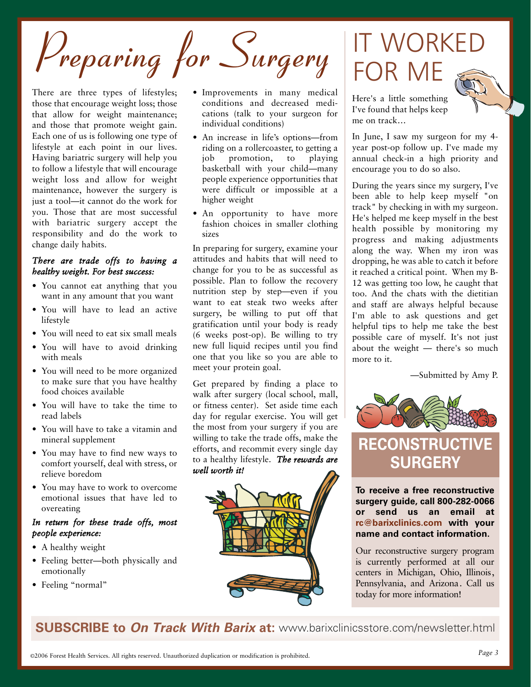Preparing for Surgery

There are three types of lifestyles; those that encourage weight loss; those that allow for weight maintenance; and those that promote weight gain. Each one of us is following one type of lifestyle at each point in our lives. Having bariatric surgery will help you to follow a lifestyle that will encourage weight loss and allow for weight maintenance, however the surgery is just a tool—it cannot do the work for you. Those that are most successful with bariatric surgery accept the responsibility and do the work to change daily habits.

#### *There are trade offs to having a healthy weight. For best success:*

- You cannot eat anything that you want in any amount that you want
- You will have to lead an active lifestyle
- You will need to eat six small meals
- You will have to avoid drinking with meals
- You will need to be more organized to make sure that you have healthy food choices available
- You will have to take the time to read labels
- You will have to take a vitamin and mineral supplement
- You may have to find new ways to comfort yourself, deal with stress, or relieve boredom
- You may have to work to overcome emotional issues that have led to overeating

#### *In return for these trade offs, most people experience:*

- A healthy weight
- Feeling better—both physically and emotionally
- Feeling "normal"
- Improvements in many medical conditions and decreased medications (talk to your surgeon for individual conditions)
- An increase in life's options—from riding on a rollercoaster, to getting a job promotion, to playing basketball with your child—many people experience opportunities that were difficult or impossible at a higher weight
- An opportunity to have more fashion choices in smaller clothing sizes

In preparing for surgery, examine your attitudes and habits that will need to change for you to be as successful as possible. Plan to follow the recovery nutrition step by step—even if you want to eat steak two weeks after surgery, be willing to put off that gratification until your body is ready (6 weeks post-op). Be willing to try new full liquid recipes until you find one that you like so you are able to meet your protein goal.

Get prepared by finding a place to walk after surgery (local school, mall, or fitness center). Set aside time each day for regular exercise. You will get the most from your surgery if you are willing to take the trade offs, make the efforts, and recommit every single day to a healthy lifestyle. *The rewards are well worth it!*



## IT WORKED FOR ME



Here's a little something I've found that helps keep me on track…

In June, I saw my surgeon for my 4 year post-op follow up. I've made my annual check-in a high priority and encourage you to do so also.

During the years since my surgery, I've been able to help keep myself "on track" by checking in with my surgeon. He's helped me keep myself in the best health possible by monitoring my progress and making adjustments along the way. When my iron was dropping, he was able to catch it before it reached a critical point. When my B-12 was getting too low, he caught that too. And the chats with the dietitian and staff are always helpful because I'm able to ask questions and get helpful tips to help me take the best possible care of myself. It's not just about the weight — there's so much more to it.

—Submitted by Amy P.



### **RECONSTRUCTIVE SURGERY**

**To receive a free reconstructive surgery guide, call 8002820066 or send us an email at rc@barixclinics.com with your name and contact information.**

Our reconstructive surgery program is currently performed at all our centers in Michigan, Ohio, Illinois, Pennsylvania, and Arizona. Call us today for more information!

**SUBSCRIBE to On Track With Barix at:** www.barixclinicsstore.com/newsletter.html